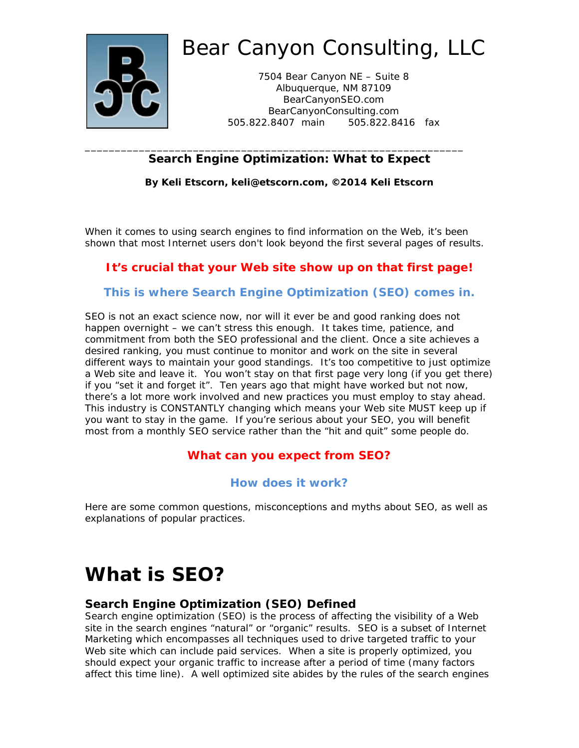

7504 Bear Canyon NE – Suite 8 Albuquerque, NM 87109 BearCanyonSEO.com BearCanyonConsulting.com 505.822.8407 main 505.822.8416 fax

# **Search Engine Optimization: What to Expect**

\_\_\_\_\_\_\_\_\_\_\_\_\_\_\_\_\_\_\_\_\_\_\_\_\_\_\_\_\_\_\_\_\_\_\_\_\_\_\_\_\_\_\_\_\_\_\_\_\_\_\_\_\_\_\_\_\_\_\_\_\_\_\_

**By Keli Etscorn, keli@etscorn.com, ©2014 Keli Etscorn** 

When it comes to using search engines to find information on the Web, it's been shown that most Internet users don't look beyond the first several pages of results.

# **It's crucial that your Web site show up on that first page!**

# *This is where Search Engine Optimization (SEO) comes in.*

SEO is not an exact science now, nor will it ever be and good ranking does not happen overnight – we can't stress this enough. It takes time, patience, and commitment from both the SEO professional and the client. Once a site achieves a desired ranking, you must continue to monitor and work on the site in several different ways to maintain your good standings. It's too competitive to just optimize a Web site and leave it. You won't stay on that first page very long (if you get there) if you "set it and forget it". Ten years ago that might have worked but not now, there's a lot more work involved and new practices you must employ to stay ahead. This industry is CONSTANTLY changing which means your Web site MUST keep up if you want to stay in the game. If you're serious about your SEO, you will benefit most from a monthly SEO service rather than the "hit and quit" some people do.

## **What can you expect from SEO?**

## **How does it work?**

Here are some common questions, misconceptions and myths about SEO, as well as explanations of popular practices.

# **What is SEO?**

## **Search Engine Optimization (SEO) Defined**

Search engine optimization (SEO) is the process of affecting the visibility of a Web site in the search engines "natural" or "organic" results. SEO is a subset of Internet Marketing which encompasses all techniques used to drive targeted traffic to your Web site which can include paid services. When a site is properly optimized, you should expect your organic traffic to increase after a period of time (many factors affect this time line). A well optimized site abides by the rules of the search engines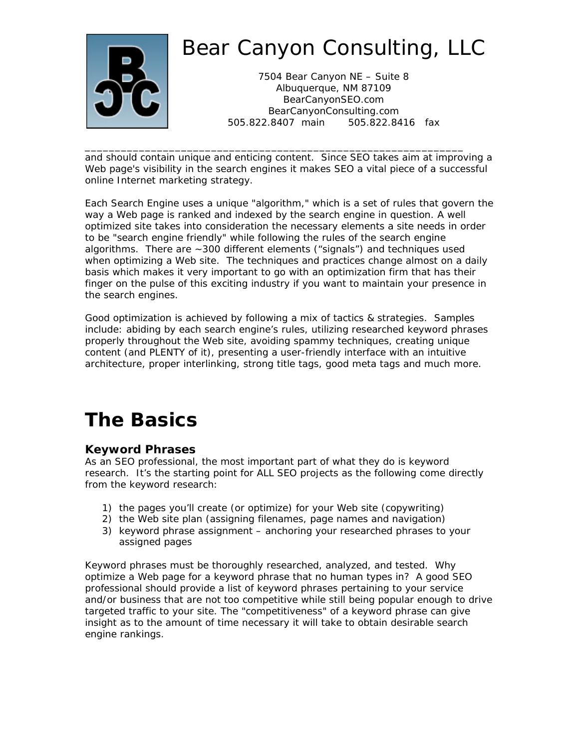

and should contain unique and enticing content. Since SEO takes aim at improving a Web page's visibility in the search engines it makes SEO a vital piece of a successful online Internet marketing strategy.

\_\_\_\_\_\_\_\_\_\_\_\_\_\_\_\_\_\_\_\_\_\_\_\_\_\_\_\_\_\_\_\_\_\_\_\_\_\_\_\_\_\_\_\_\_\_\_\_\_\_\_\_\_\_\_\_\_\_\_\_\_\_\_

Each Search Engine uses a unique "algorithm," which is a set of rules that govern the way a Web page is ranked and indexed by the search engine in question. A well optimized site takes into consideration the necessary elements a site needs in order to be "search engine friendly" while following the rules of the search engine algorithms. There are ~300 different elements ("signals") and techniques used when optimizing a Web site. The techniques and practices change almost on a daily basis which makes it very important to go with an optimization firm that has their finger on the pulse of this exciting industry if you want to maintain your presence in the search engines.

Good optimization is achieved by following a mix of tactics & strategies. Samples include: abiding by each search engine's rules, utilizing researched keyword phrases properly throughout the Web site, avoiding spammy techniques, creating unique content (and PLENTY of it), presenting a user-friendly interface with an intuitive architecture, proper interlinking, strong title tags, good meta tags and much more.

# **The Basics**

## **Keyword Phrases**

As an SEO professional, the most important part of what they do is keyword research. It's the starting point for ALL SEO projects as the following come directly from the keyword research:

- 1) the pages you'll create (or optimize) for your Web site (copywriting)
- 2) the Web site plan (assigning filenames, page names and navigation)
- 3) keyword phrase assignment anchoring your researched phrases to your assigned pages

Keyword phrases must be thoroughly researched, analyzed, and tested. Why optimize a Web page for a keyword phrase that no human types in? A good SEO professional should provide a list of keyword phrases pertaining to your service and/or business that are not too competitive while still being popular enough to drive targeted traffic to your site. The "competitiveness" of a keyword phrase can give insight as to the amount of time necessary it will take to obtain desirable search engine rankings.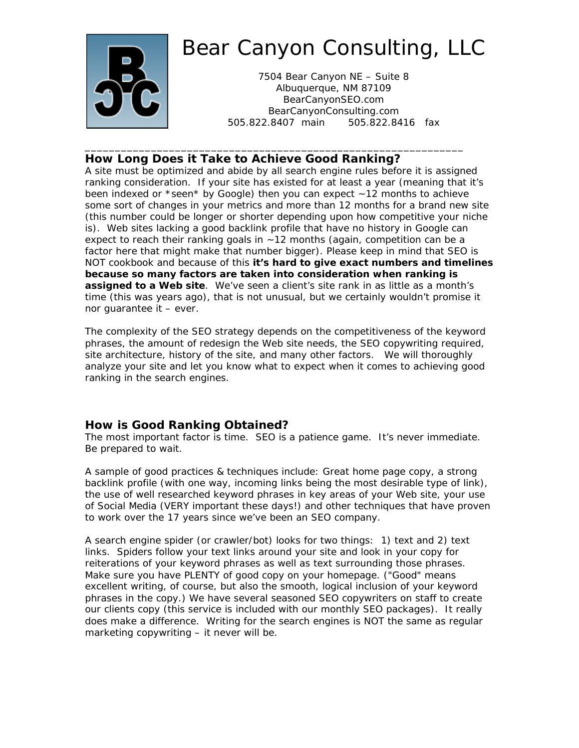

\_\_\_\_\_\_\_\_\_\_\_\_\_\_\_\_\_\_\_\_\_\_\_\_\_\_\_\_\_\_\_\_\_\_\_\_\_\_\_\_\_\_\_\_\_\_\_\_\_\_\_\_\_\_\_\_\_\_\_\_\_\_\_

## **How Long Does it Take to Achieve Good Ranking?**

A site must be optimized and abide by all search engine rules before it is assigned ranking consideration. If your site has existed for at least a year (meaning that it's been indexed or \*seen\* by Google) then you can expect ~12 months to achieve some sort of changes in your metrics and more than 12 months for a brand new site (this number could be longer or shorter depending upon how competitive your niche is). Web sites lacking a good backlink profile that have no history in Google can expect to reach their ranking goals in  $\sim$  12 months (again, competition can be a factor here that might make that number bigger). Please keep in mind that SEO is NOT cookbook and because of this **it's hard to give exact numbers and timelines because so many factors are taken into consideration when ranking is assigned to a Web site**. We've seen a client's site rank in as little as a month's time (this was years ago), that is not unusual, but we certainly wouldn't promise it nor guarantee it – ever.

The complexity of the SEO strategy depends on the competitiveness of the keyword phrases, the amount of redesign the Web site needs, the SEO copywriting required, site architecture, history of the site, and many other factors. We will thoroughly analyze your site and let you know what to expect when it comes to achieving good ranking in the search engines.

## **How is Good Ranking Obtained?**

The most important factor is time. SEO is a patience game. It's never immediate. Be prepared to wait.

A sample of good practices & techniques include: Great home page copy, a strong backlink profile (with one way, incoming links being the most desirable type of link), the use of well researched keyword phrases in key areas of your Web site, your use of Social Media (VERY important these days!) and other techniques that have proven to work over the 17 years since we've been an SEO company.

A search engine spider (or crawler/bot) looks for two things: 1) text and 2) text links. Spiders follow your text links around your site and look in your copy for reiterations of your keyword phrases as well as text surrounding those phrases. Make sure you have PLENTY of good copy on your homepage. ("Good" means excellent writing, of course, but also the smooth, logical inclusion of your keyword phrases in the copy.) We have several seasoned SEO copywriters on staff to create our clients copy (this service is included with our monthly SEO packages). It really does make a difference. Writing for the search engines is NOT the same as regular marketing copywriting – it never will be.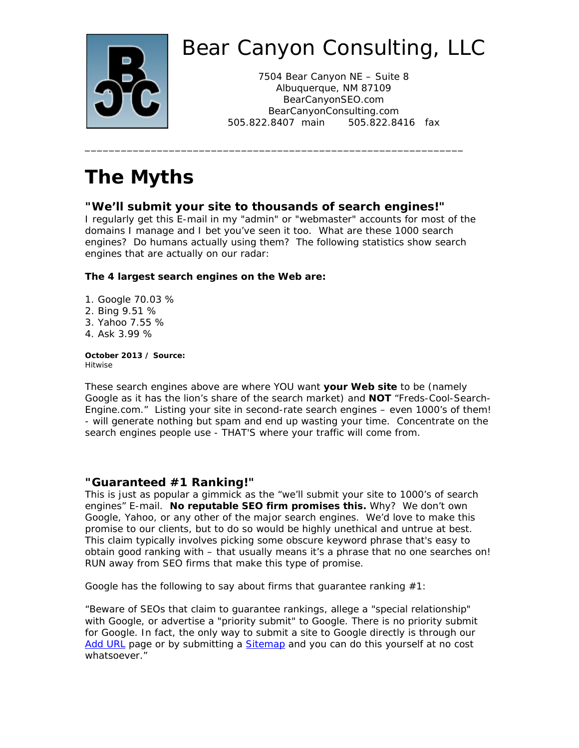

7504 Bear Canyon NE – Suite 8 Albuquerque, NM 87109 BearCanyonSEO.com BearCanyonConsulting.com 505.822.8407 main 505.822.8416 fax

# **The Myths**

## **"We'll submit your site to thousands of search engines!"**

\_\_\_\_\_\_\_\_\_\_\_\_\_\_\_\_\_\_\_\_\_\_\_\_\_\_\_\_\_\_\_\_\_\_\_\_\_\_\_\_\_\_\_\_\_\_\_\_\_\_\_\_\_\_\_\_\_\_\_\_\_\_\_

I regularly get this E-mail in my "admin" or "webmaster" accounts for most of the domains I manage and I bet you've seen it too. What are these 1000 search engines? Do humans actually using them? The following statistics show search engines that are actually on our radar:

## **The 4 largest search engines on the Web are:**

- 1. Google 70.03 %
- 2. Bing 9.51 %
- 3. Yahoo 7.55 %
- 4. Ask 3.99 %

#### **October 2013 / Source:**  Hitwise

These search engines above are where YOU want **your Web site** to be (namely Google as it has the lion's share of the search market) and **NOT** "Freds-Cool-Search-Engine.com." Listing your site in second-rate search engines – even 1000's of them! - will generate nothing but spam and end up wasting your time. Concentrate on the search engines people use - THAT'S where your traffic will come from.

## **"Guaranteed #1 Ranking!"**

This is just as popular a gimmick as the "we'll submit your site to 1000's of search engines" E-mail. **No reputable SEO firm promises this.** Why? *We don't own Google, Yahoo, or any other of the major search engines.* We'd love to make this promise to our clients, but to do so would be highly unethical and untrue at best. This claim typically involves picking some obscure keyword phrase that's easy to obtain good ranking with – that usually means it's a phrase that no one searches on! RUN away from SEO firms that make this type of promise.

Google has the following to say about firms that guarantee ranking  $#1$ :

*"Beware of SEOs that claim to guarantee rankings, allege a "special relationship" with Google, or advertise a "priority submit" to Google. There is no priority submit for Google. In fact, the only way to submit a site to Google directly is through our Add URL page or by submitting a Sitemap and you can do this yourself at no cost whatsoever."*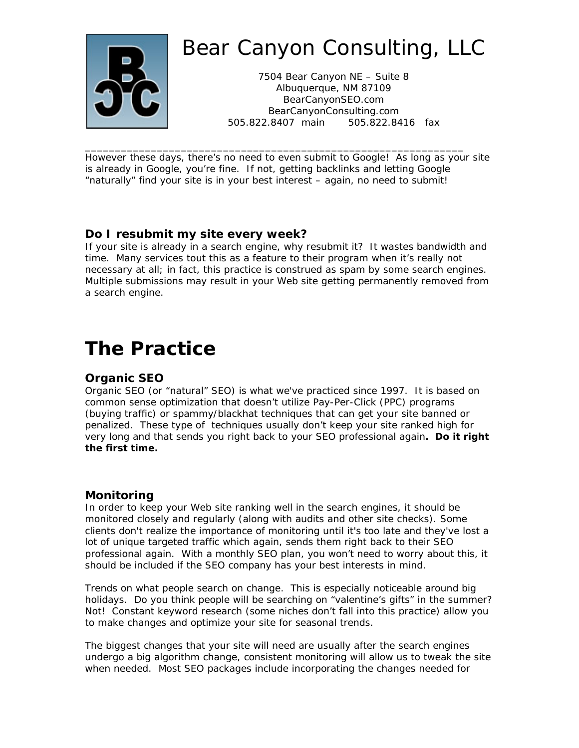

However these days, there's no need to even submit to Google! As long as your site is already in Google, you're fine. If not, getting backlinks and letting Google "naturally" find your site is in your best interest – again, no need to submit!

\_\_\_\_\_\_\_\_\_\_\_\_\_\_\_\_\_\_\_\_\_\_\_\_\_\_\_\_\_\_\_\_\_\_\_\_\_\_\_\_\_\_\_\_\_\_\_\_\_\_\_\_\_\_\_\_\_\_\_\_\_\_\_

## **Do I resubmit my site every week?**

If your site is already in a search engine, why resubmit it? It wastes bandwidth and time. Many services tout this as a feature to their program when it's really not necessary at all; in fact, this practice is construed as spam by some search engines. Multiple submissions may result in your Web site getting permanently removed from a search engine.

# **The Practice**

## **Organic SEO**

Organic SEO (or "natural" SEO) is what we've practiced since 1997. It is based on common sense optimization that doesn't utilize Pay-Per-Click (PPC) programs (buying traffic) or spammy/blackhat techniques that can get your site banned or penalized. These type of techniques usually don't keep your site ranked high for very long and that sends you right back to your SEO professional again**. Do it right the first time.** 

## **Monitoring**

In order to keep your Web site ranking well in the search engines, it should be monitored closely and regularly (along with audits and other site checks). Some clients don't realize the importance of monitoring until it's too late and they've lost a lot of unique targeted traffic which again, sends them right back to their SEO professional again. With a monthly SEO plan, you won't need to worry about this, it should be included if the SEO company has your best interests in mind.

Trends on what people search on change. This is especially noticeable around big holidays. Do you think people will be searching on "valentine's gifts" in the summer? Not! Constant keyword research (some niches don't fall into this practice) allow you to make changes and optimize your site for seasonal trends.

The biggest changes that your site will need are usually after the search engines undergo a big algorithm change, consistent monitoring will allow us to tweak the site when needed. Most SEO packages include incorporating the changes needed for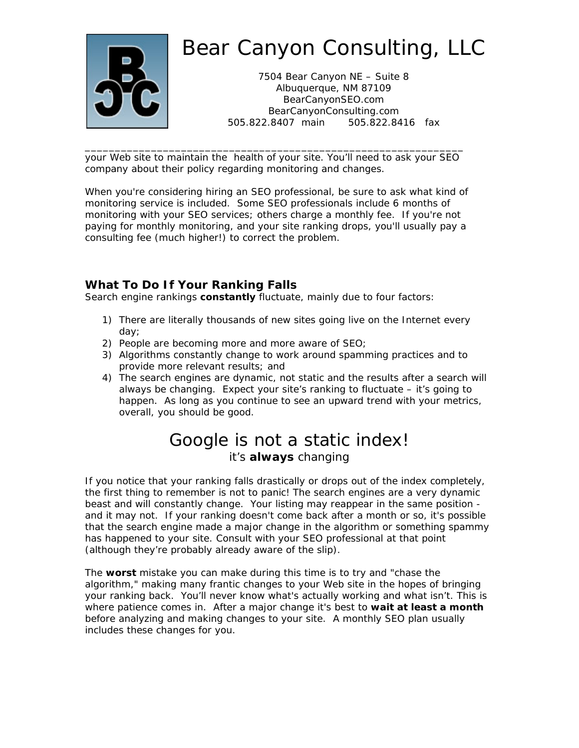

\_\_\_\_\_\_\_\_\_\_\_\_\_\_\_\_\_\_\_\_\_\_\_\_\_\_\_\_\_\_\_\_\_\_\_\_\_\_\_\_\_\_\_\_\_\_\_\_\_\_\_\_\_\_\_\_\_\_\_\_\_\_\_ your Web site to maintain the health of your site. You'll need to ask your SEO company about their policy regarding monitoring and changes.

When you're considering hiring an SEO professional, be sure to ask what kind of monitoring service is included. Some SEO professionals include 6 months of monitoring with your SEO services; others charge a monthly fee. If you're not paying for monthly monitoring, and your site ranking drops, you'll usually pay a consulting fee (much higher!) to correct the problem.

## **What To Do If Your Ranking Falls**

Search engine rankings **constantly** fluctuate, mainly due to four factors:

- 1) There are literally thousands of new sites going live on the Internet every day;
- 2) People are becoming more and more aware of SEO;
- 3) Algorithms constantly change to work around spamming practices and to provide more relevant results; and
- 4) The search engines are dynamic, not static and the results after a search will always be changing. Expect your site's ranking to fluctuate – it's going to happen. As long as you continue to see an upward trend with your metrics, overall, you should be good.

# Google is not a static index! *it's always changing*

If you notice that your ranking falls drastically or drops out of the index completely, the first thing to remember is not to panic! The search engines are a very dynamic beast and will constantly change. Your listing may reappear in the same position and it may not. If your ranking doesn't come back after a month or so, it's possible that the search engine made a major change in the algorithm or something spammy has happened to your site. Consult with your SEO professional at that point (although they're probably already aware of the slip).

The **worst** mistake you can make during this time is to try and "chase the algorithm," making many frantic changes to your Web site in the hopes of bringing your ranking back. You'll never know what's actually working and what isn't. This is where patience comes in. After a major change it's best to **wait at least a month** before analyzing and making changes to your site. A monthly SEO plan usually includes these changes for you.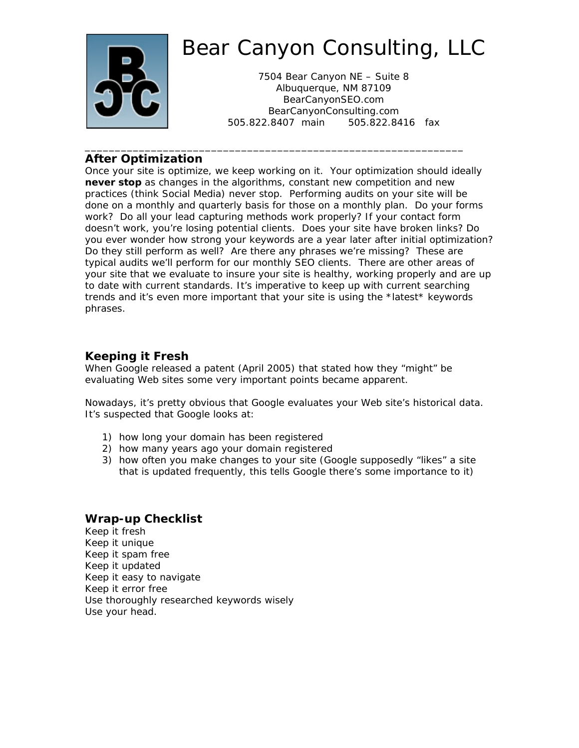

7504 Bear Canyon NE – Suite 8 Albuquerque, NM 87109 BearCanyonSEO.com BearCanyonConsulting.com 505.822.8407 main 505.822.8416 fax

## **After Optimization**

Once your site is optimize, we keep working on it. Your optimization should ideally **never stop** as changes in the algorithms, constant new competition and new practices (think Social Media) never stop. Performing audits on your site will be done on a monthly and quarterly basis for those on a monthly plan. Do your forms work? Do all your lead capturing methods work properly? If your contact form doesn't work, you're losing potential clients. Does your site have broken links? Do you ever wonder how strong your keywords are a year later after initial optimization? Do they still perform as well? Are there any phrases we're missing? These are typical audits we'll perform for our monthly SEO clients. There are other areas of your site that we evaluate to insure your site is healthy, working properly and are up to date with current standards. It's imperative to keep up with current searching trends and it's even more important that your site is using the \*latest\* keywords phrases.

\_\_\_\_\_\_\_\_\_\_\_\_\_\_\_\_\_\_\_\_\_\_\_\_\_\_\_\_\_\_\_\_\_\_\_\_\_\_\_\_\_\_\_\_\_\_\_\_\_\_\_\_\_\_\_\_\_\_\_\_\_\_\_

# **Keeping it Fresh**

When Google released a patent (April 2005) that stated how they "might" be evaluating Web sites some very important points became apparent.

Nowadays, it's pretty obvious that Google evaluates your Web site's historical data. It's suspected that Google looks at:

- 1) how long your domain has been registered
- 2) how many years ago your domain registered
- 3) how often you make changes to your site (Google supposedly "likes" a site that is updated frequently, this tells Google there's some importance to it)

## **Wrap-up Checklist**

Keep it fresh Keep it unique Keep it spam free Keep it updated Keep it easy to navigate Keep it error free Use thoroughly researched keywords wisely Use your head.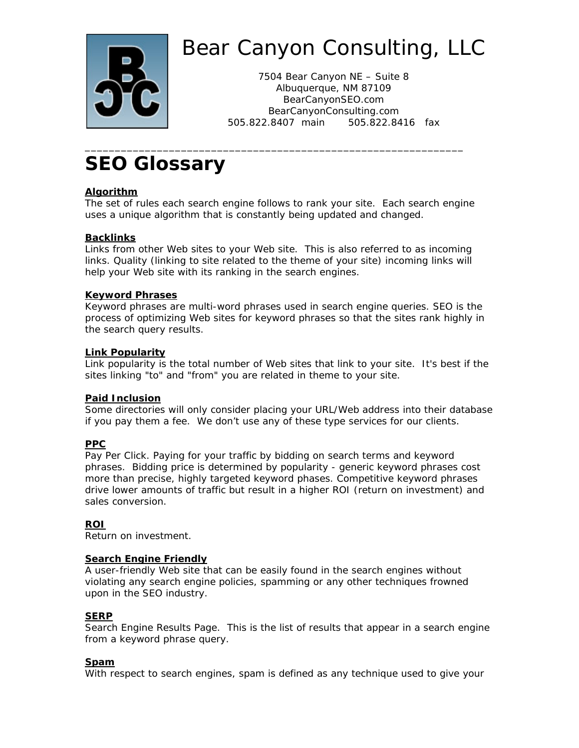

7504 Bear Canyon NE – Suite 8 Albuquerque, NM 87109 BearCanyonSEO.com BearCanyonConsulting.com 505.822.8407 main 505.822.8416 fax

# **SEO Glossary**

## **Algorithm**

The set of rules each search engine follows to rank your site. Each search engine uses a unique algorithm that is constantly being updated and changed.

\_\_\_\_\_\_\_\_\_\_\_\_\_\_\_\_\_\_\_\_\_\_\_\_\_\_\_\_\_\_\_\_\_\_\_\_\_\_\_\_\_\_\_\_\_\_\_\_\_\_\_\_\_\_\_\_\_\_\_\_\_\_\_

### **Backlinks**

Links from other Web sites to your Web site. This is also referred to as incoming links. Quality (linking to site related to the theme of your site) incoming links will help your Web site with its ranking in the search engines.

### **Keyword Phrases**

Keyword phrases are multi-word phrases used in search engine queries. SEO is the process of optimizing Web sites for keyword phrases so that the sites rank highly in the search query results.

### **Link Popularity**

Link popularity is the total number of Web sites that link to your site. It's best if the sites linking "to" and "from" you are related in theme to your site.

### **Paid Inclusion**

Some directories will only consider placing your URL/Web address into their database if you pay them a fee. We don't use any of these type services for our clients.

## **PPC**

Pay Per Click. Paying for your traffic by bidding on search terms and keyword phrases. Bidding price is determined by popularity - generic keyword phrases cost more than precise, highly targeted keyword phases. Competitive keyword phrases drive lower amounts of traffic but result in a higher ROI (return on investment) and sales conversion.

## **ROI**

Return on investment.

### **Search Engine Friendly**

A user-friendly Web site that can be easily found in the search engines without violating any search engine policies, spamming or any other techniques frowned upon in the SEO industry.

### **SERP**

Search Engine Results Page. This is the list of results that appear in a search engine from a keyword phrase query.

### **Spam**

With respect to search engines, spam is defined as any technique used to give your